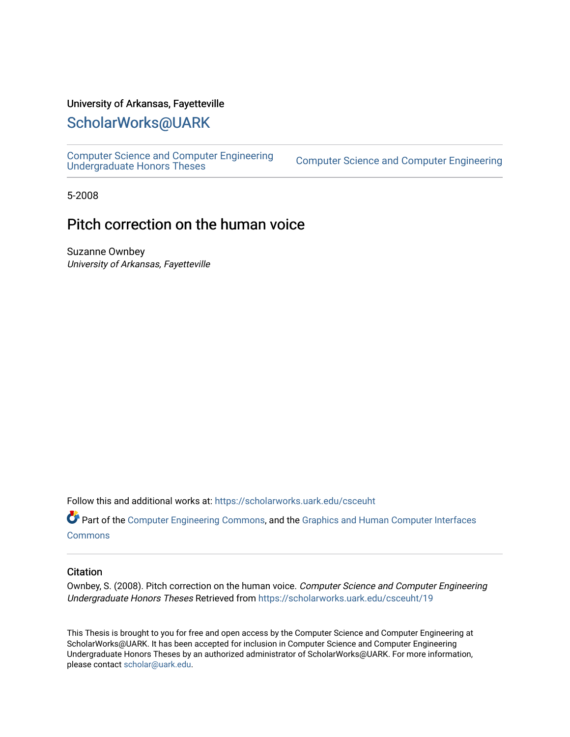#### University of Arkansas, Fayetteville

# [ScholarWorks@UARK](https://scholarworks.uark.edu/)

[Computer Science and Computer Engineering](https://scholarworks.uark.edu/csceuht) 

Computer Science and Computer Engineering

5-2008

# Pitch correction on the human voice

Suzanne Ownbey University of Arkansas, Fayetteville

Follow this and additional works at: [https://scholarworks.uark.edu/csceuht](https://scholarworks.uark.edu/csceuht?utm_source=scholarworks.uark.edu%2Fcsceuht%2F19&utm_medium=PDF&utm_campaign=PDFCoverPages)

Part of the [Computer Engineering Commons,](http://network.bepress.com/hgg/discipline/258?utm_source=scholarworks.uark.edu%2Fcsceuht%2F19&utm_medium=PDF&utm_campaign=PDFCoverPages) and the Graphics and Human Computer Interfaces [Commons](http://network.bepress.com/hgg/discipline/146?utm_source=scholarworks.uark.edu%2Fcsceuht%2F19&utm_medium=PDF&utm_campaign=PDFCoverPages)

#### **Citation**

Ownbey, S. (2008). Pitch correction on the human voice. Computer Science and Computer Engineering Undergraduate Honors Theses Retrieved from [https://scholarworks.uark.edu/csceuht/19](https://scholarworks.uark.edu/csceuht/19?utm_source=scholarworks.uark.edu%2Fcsceuht%2F19&utm_medium=PDF&utm_campaign=PDFCoverPages) 

This Thesis is brought to you for free and open access by the Computer Science and Computer Engineering at ScholarWorks@UARK. It has been accepted for inclusion in Computer Science and Computer Engineering Undergraduate Honors Theses by an authorized administrator of ScholarWorks@UARK. For more information, please contact [scholar@uark.edu](mailto:scholar@uark.edu).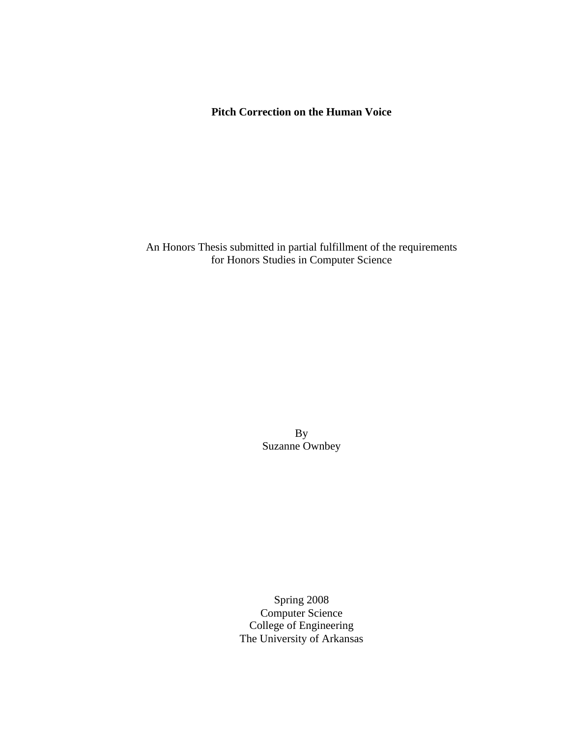**Pitch Correction on the Human Voice** 

An Honors Thesis submitted in partial fulfillment of the requirements for Honors Studies in Computer Science

> By Suzanne Ownbey

Spring 2008 Computer Science College of Engineering The University of Arkansas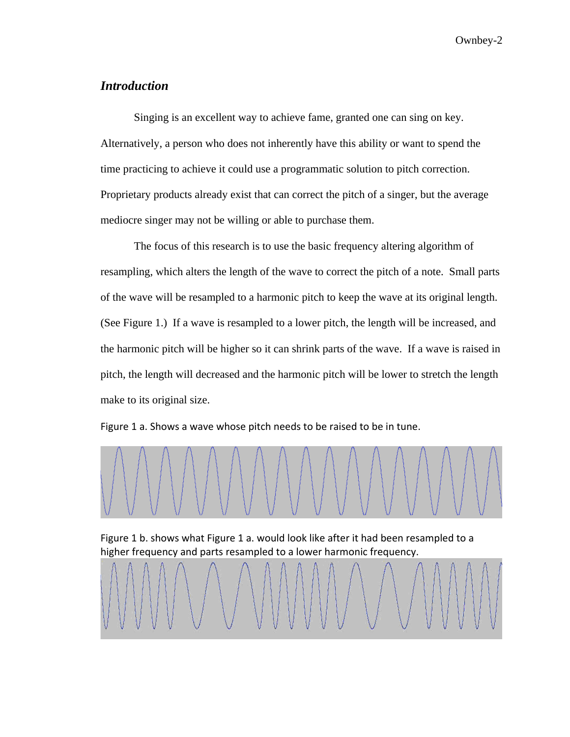## *Introduction*

Singing is an excellent way to achieve fame, granted one can sing on key. Alternatively, a person who does not inherently have this ability or want to spend the time practicing to achieve it could use a programmatic solution to pitch correction. Proprietary products already exist that can correct the pitch of a singer, but the average mediocre singer may not be willing or able to purchase them.

The focus of this research is to use the basic frequency altering algorithm of resampling, which alters the length of the wave to correct the pitch of a note. Small parts of the wave will be resampled to a harmonic pitch to keep the wave at its original length. (See Figure 1.) If a wave is resampled to a lower pitch, the length will be increased, and the harmonic pitch will be higher so it can shrink parts of the wave. If a wave is raised in pitch, the length will decreased and the harmonic pitch will be lower to stretch the length make to its original size.

Figure 1 a. Shows a wave whose pitch needs to be raised to be in tune.

Figure 1 b. shows what Figure 1 a. would look like after it had been resampled to a higher frequency and parts resampled to a lower harmonic frequency.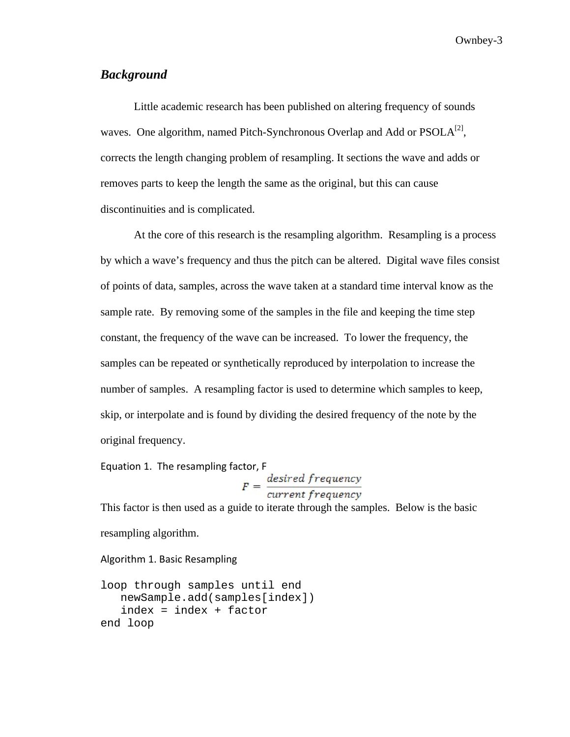### *Background*

Little academic research has been published on altering frequency of sounds waves. One algorithm, named Pitch-Synchronous Overlap and Add or  $PSOLA^{[2]}$ , corrects the length changing problem of resampling. It sections the wave and adds or removes parts to keep the length the same as the original, but this can cause discontinuities and is complicated.

At the core of this research is the resampling algorithm. Resampling is a process by which a wave's frequency and thus the pitch can be altered. Digital wave files consist of points of data, samples, across the wave taken at a standard time interval know as the sample rate. By removing some of the samples in the file and keeping the time step constant, the frequency of the wave can be increased. To lower the frequency, the samples can be repeated or synthetically reproduced by interpolation to increase the number of samples. A resampling factor is used to determine which samples to keep, skip, or interpolate and is found by dividing the desired frequency of the note by the original frequency.

Equation 1. The resampling factor, F

current frequency

This factor is then used as a guide to iterate through the samples. Below is the basic resampling algorithm.

Algorithm 1. Basic Resampling

```
loop through samples until end 
    newSample.add(samples[index]) 
    index = index + factor 
end loop
```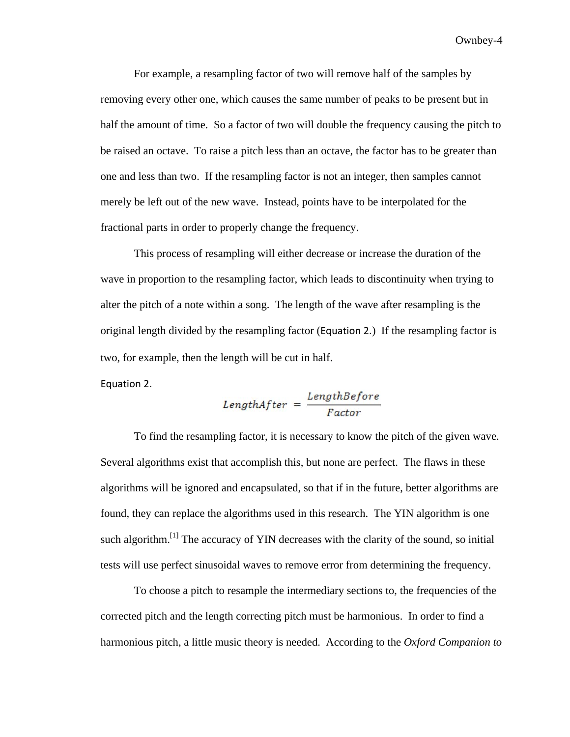For example, a resampling factor of two will remove half of the samples by removing every other one, which causes the same number of peaks to be present but in half the amount of time. So a factor of two will double the frequency causing the pitch to be raised an octave. To raise a pitch less than an octave, the factor has to be greater than one and less than two. If the resampling factor is not an integer, then samples cannot merely be left out of the new wave. Instead, points have to be interpolated for the fractional parts in order to properly change the frequency.

This process of resampling will either decrease or increase the duration of the wave in proportion to the resampling factor, which leads to discontinuity when trying to alter the pitch of a note within a song. The length of the wave after resampling is the original length divided by the resampling factor (Equation 2.) If the resampling factor is two, for example, then the length will be cut in half.

Equation 2.

$$
LengthAfter = \frac{LengthBefore}{Factor}
$$

To find the resampling factor, it is necessary to know the pitch of the given wave. Several algorithms exist that accomplish this, but none are perfect. The flaws in these algorithms will be ignored and encapsulated, so that if in the future, better algorithms are found, they can replace the algorithms used in this research. The YIN algorithm is one such algorithm.<sup>[1]</sup> The accuracy of YIN decreases with the clarity of the sound, so initial tests will use perfect sinusoidal waves to remove error from determining the frequency.

To choose a pitch to resample the intermediary sections to, the frequencies of the corrected pitch and the length correcting pitch must be harmonious. In order to find a harmonious pitch, a little music theory is needed. According to the *Oxford Companion to*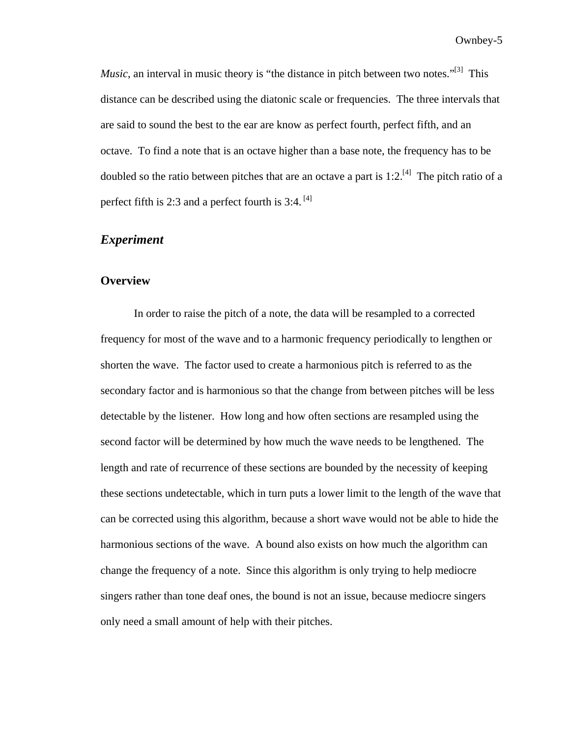*Music*, an interval in music theory is "the distance in pitch between two notes."<sup>[3]</sup> This distance can be described using the diatonic scale or frequencies. The three intervals that are said to sound the best to the ear are know as perfect fourth, perfect fifth, and an octave. To find a note that is an octave higher than a base note, the frequency has to be doubled so the ratio between pitches that are an octave a part is  $1:2.^{[4]}$  The pitch ratio of a perfect fifth is 2:3 and a perfect fourth is 3:4. [4]

### *Experiment*

#### **Overview**

In order to raise the pitch of a note, the data will be resampled to a corrected frequency for most of the wave and to a harmonic frequency periodically to lengthen or shorten the wave. The factor used to create a harmonious pitch is referred to as the secondary factor and is harmonious so that the change from between pitches will be less detectable by the listener. How long and how often sections are resampled using the second factor will be determined by how much the wave needs to be lengthened. The length and rate of recurrence of these sections are bounded by the necessity of keeping these sections undetectable, which in turn puts a lower limit to the length of the wave that can be corrected using this algorithm, because a short wave would not be able to hide the harmonious sections of the wave. A bound also exists on how much the algorithm can change the frequency of a note. Since this algorithm is only trying to help mediocre singers rather than tone deaf ones, the bound is not an issue, because mediocre singers only need a small amount of help with their pitches.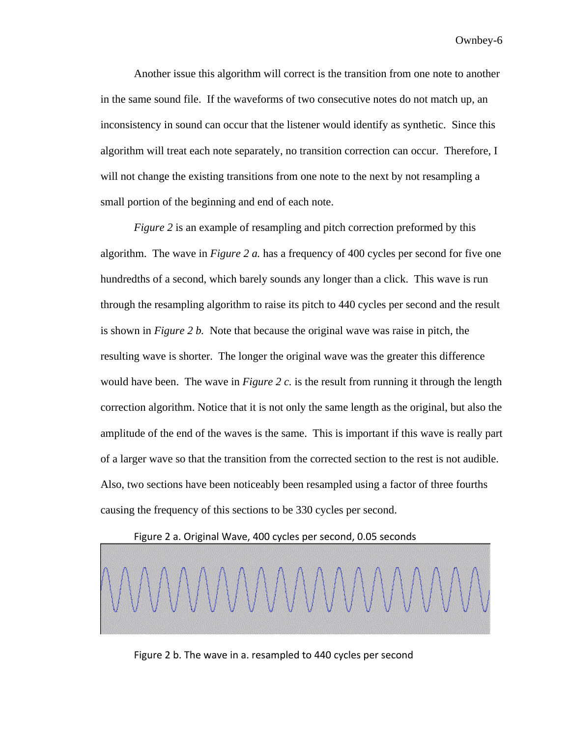Another issue this algorithm will correct is the transition from one note to another in the same sound file. If the waveforms of two consecutive notes do not match up, an inconsistency in sound can occur that the listener would identify as synthetic. Since this algorithm will treat each note separately, no transition correction can occur. Therefore, I will not change the existing transitions from one note to the next by not resampling a small portion of the beginning and end of each note.

*Figure 2* is an example of resampling and pitch correction preformed by this algorithm. The wave in *Figure 2 a.* has a frequency of 400 cycles per second for five one hundredths of a second, which barely sounds any longer than a click. This wave is run through the resampling algorithm to raise its pitch to 440 cycles per second and the result is shown in *Figure 2 b.* Note that because the original wave was raise in pitch, the resulting wave is shorter. The longer the original wave was the greater this difference would have been. The wave in *Figure 2 c.* is the result from running it through the length correction algorithm. Notice that it is not only the same length as the original, but also the amplitude of the end of the waves is the same. This is important if this wave is really part of a larger wave so that the transition from the corrected section to the rest is not audible. Also, two sections have been noticeably been resampled using a factor of three fourths causing the frequency of this sections to be 330 cycles per second.



Figure 2 a. Original Wave, 400 cycles per second, 0.05 seconds

Figure 2 b. The wave in a. resampled to 440 cycles per second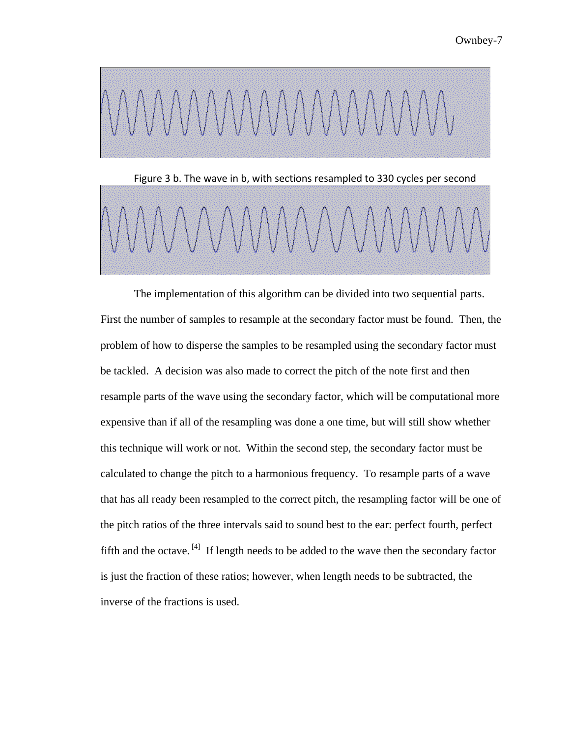

The implementation of this algorithm can be divided into two sequential parts. First the number of samples to resample at the secondary factor must be found. Then, the problem of how to disperse the samples to be resampled using the secondary factor must be tackled. A decision was also made to correct the pitch of the note first and then resample parts of the wave using the secondary factor, which will be computational more expensive than if all of the resampling was done a one time, but will still show whether this technique will work or not. Within the second step, the secondary factor must be calculated to change the pitch to a harmonious frequency. To resample parts of a wave that has all ready been resampled to the correct pitch, the resampling factor will be one of the pitch ratios of the three intervals said to sound best to the ear: perfect fourth, perfect fifth and the octave. [4] If length needs to be added to the wave then the secondary factor is just the fraction of these ratios; however, when length needs to be subtracted, the inverse of the fractions is used.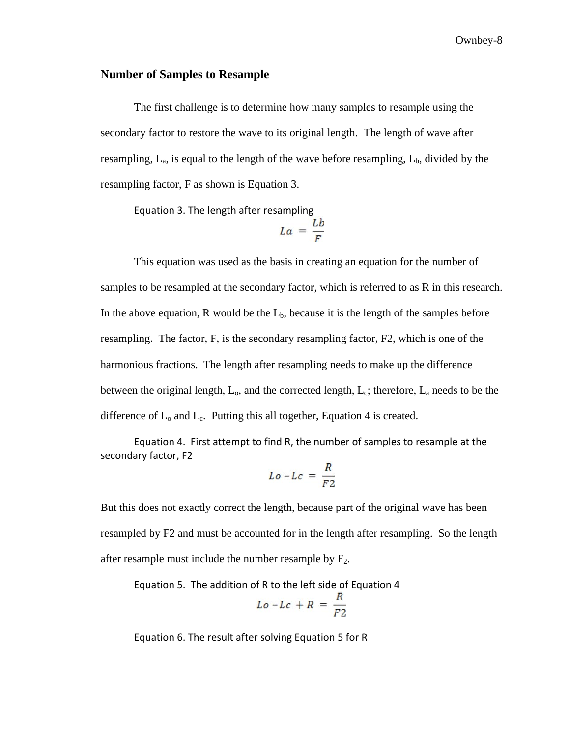### **Number of Samples to Resample**

 The first challenge is to determine how many samples to resample using the secondary factor to restore the wave to its original length. The length of wave after resampling,  $L_a$ , is equal to the length of the wave before resampling,  $L_b$ , divided by the resampling factor, F as shown is Equation 3.

Equation 3. The length after resampling

$$
La = \frac{Lb}{F}
$$

This equation was used as the basis in creating an equation for the number of samples to be resampled at the secondary factor, which is referred to as R in this research. In the above equation, R would be the  $L_b$ , because it is the length of the samples before resampling. The factor, F, is the secondary resampling factor, F2, which is one of the harmonious fractions. The length after resampling needs to make up the difference between the original length,  $L_0$ , and the corrected length,  $L_c$ ; therefore,  $L_a$  needs to be the difference of  $L_0$  and  $L_c$ . Putting this all together, Equation 4 is created.

Equation 4. First attempt to find R, the number of samples to resample at the secondary factor, F2

$$
Lo-Lc = \frac{R}{F2}
$$

But this does not exactly correct the length, because part of the original wave has been resampled by F2 and must be accounted for in the length after resampling. So the length after resample must include the number resample by  $F_2$ .

Equation 5. The addition of R to the left side of Equation 4

$$
Lo-Lc + R = \frac{R}{F2}
$$

Equation 6. The result after solving Equation 5 for R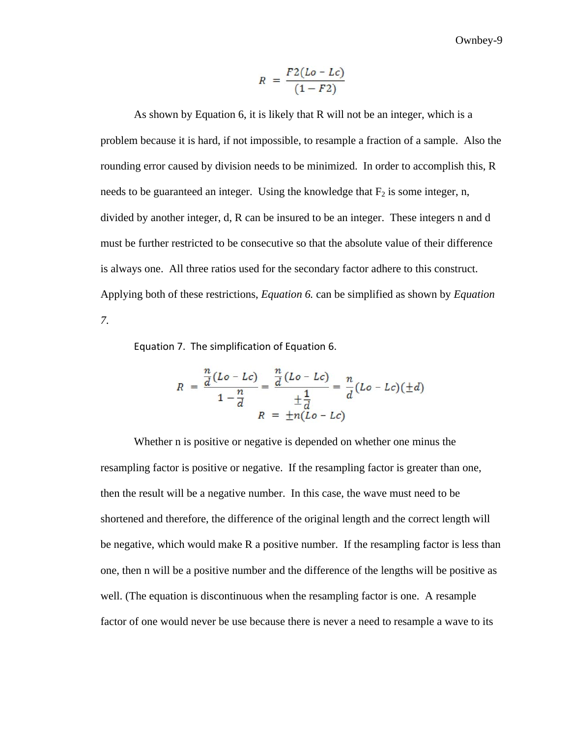$$
R = \frac{F2(Lo - Lc)}{(1 - F2)}
$$

As shown by Equation 6, it is likely that R will not be an integer, which is a problem because it is hard, if not impossible, to resample a fraction of a sample. Also the rounding error caused by division needs to be minimized. In order to accomplish this, R needs to be guaranteed an integer. Using the knowledge that  $F_2$  is some integer, n, divided by another integer, d, R can be insured to be an integer. These integers n and d must be further restricted to be consecutive so that the absolute value of their difference is always one. All three ratios used for the secondary factor adhere to this construct. Applying both of these restrictions, *Equation 6.* can be simplified as shown by *Equation 7*.

Equation 7. The simplification of Equation 6.

$$
R = \frac{\frac{n}{d}(Lo - Lc)}{1 - \frac{n}{d}} = \frac{\frac{n}{d}(Lo - Lc)}{\pm \frac{1}{d}} = \frac{n}{d}(Lo - Lc)(\pm d)
$$

$$
R = \pm n(Lo - Lc)
$$

Whether n is positive or negative is depended on whether one minus the resampling factor is positive or negative. If the resampling factor is greater than one, then the result will be a negative number. In this case, the wave must need to be shortened and therefore, the difference of the original length and the correct length will be negative, which would make R a positive number. If the resampling factor is less than one, then n will be a positive number and the difference of the lengths will be positive as well. (The equation is discontinuous when the resampling factor is one. A resample factor of one would never be use because there is never a need to resample a wave to its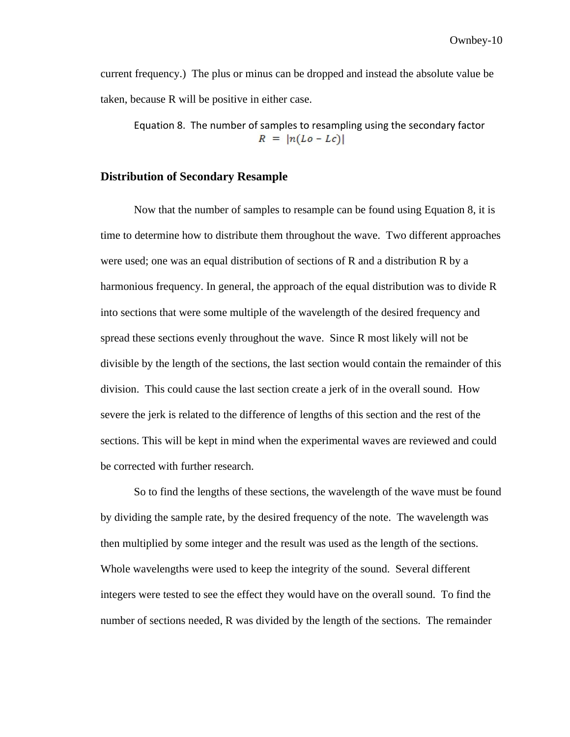current frequency.) The plus or minus can be dropped and instead the absolute value be taken, because R will be positive in either case.

Equation 8. The number of samples to resampling using the secondary factor  $R = |n(Lo - Lc)|$ 

#### **Distribution of Secondary Resample**

Now that the number of samples to resample can be found using Equation 8, it is time to determine how to distribute them throughout the wave. Two different approaches were used; one was an equal distribution of sections of R and a distribution R by a harmonious frequency. In general, the approach of the equal distribution was to divide R into sections that were some multiple of the wavelength of the desired frequency and spread these sections evenly throughout the wave. Since R most likely will not be divisible by the length of the sections, the last section would contain the remainder of this division. This could cause the last section create a jerk of in the overall sound. How severe the jerk is related to the difference of lengths of this section and the rest of the sections. This will be kept in mind when the experimental waves are reviewed and could be corrected with further research.

So to find the lengths of these sections, the wavelength of the wave must be found by dividing the sample rate, by the desired frequency of the note. The wavelength was then multiplied by some integer and the result was used as the length of the sections. Whole wavelengths were used to keep the integrity of the sound. Several different integers were tested to see the effect they would have on the overall sound. To find the number of sections needed, R was divided by the length of the sections. The remainder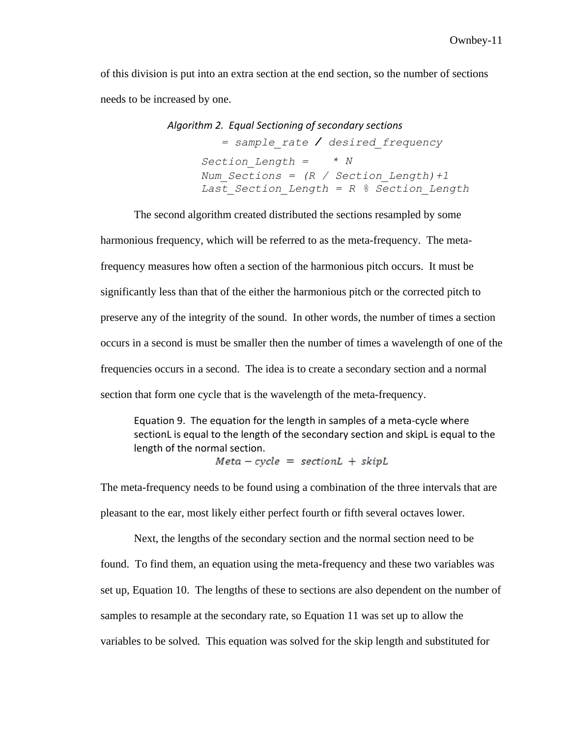of this division is put into an extra section at the end section, so the number of sections needs to be increased by one.

> Algorithm 2. Equal Sectioning of secondary sections *= sample\_rate / desired\_frequency Section\_Length = \* N Num\_Sections = (R / Section\_Length)+1 Last\_Section\_Length = R % Section\_Length*

 The second algorithm created distributed the sections resampled by some harmonious frequency, which will be referred to as the meta-frequency. The metafrequency measures how often a section of the harmonious pitch occurs. It must be significantly less than that of the either the harmonious pitch or the corrected pitch to preserve any of the integrity of the sound. In other words, the number of times a section occurs in a second is must be smaller then the number of times a wavelength of one of the frequencies occurs in a second. The idea is to create a secondary section and a normal section that form one cycle that is the wavelength of the meta-frequency.

Equation 9. The equation for the length in samples of a meta-cycle where sectionL is equal to the length of the secondary section and skipL is equal to the length of the normal section.

 $Meta-cycle = sectionL + skipL$ 

The meta-frequency needs to be found using a combination of the three intervals that are pleasant to the ear, most likely either perfect fourth or fifth several octaves lower.

 Next, the lengths of the secondary section and the normal section need to be found. To find them, an equation using the meta-frequency and these two variables was set up, Equation 10. The lengths of these to sections are also dependent on the number of samples to resample at the secondary rate, so Equation 11 was set up to allow the variables to be solved*.* This equation was solved for the skip length and substituted for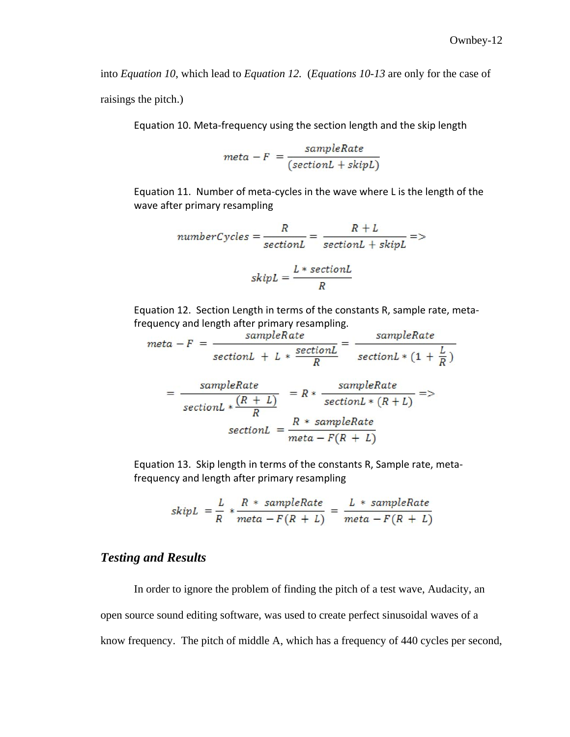into *Equation 10*, which lead to *Equation 12.* (*Equations 10-13* are only for the case of

raisings the pitch.)

Equation 10. Meta-frequency using the section length and the skip length

$$
meta - F = \frac{sampleRate}{(sectionL + skipL)}
$$

Equation 11. Number of meta-cycles in the wave where L is the length of the wave after primary resampling

$$
numberCycles = \frac{R}{sectionL} = \frac{R + L}{sectionL + skipL} =>
$$

$$
skipL = \frac{L * sectionL}{R}
$$

Equation 12. Section Length in terms of the constants R, sample rate, metafrequency and length after primary resampling.  $\mathbf{r}$ 

$$
meta - F = \frac{sampleRate}{sectionL + L * \frac{sectionL}{R}} = \frac{sampleRate}{sectionL * (1 + \frac{L}{R})}
$$

$$
= \frac{sampleRate}{sectionL * \frac{(R + L)}{R}} = R * \frac{sampleRate}{sectionL * (R + L)} =>
$$

$$
sectionL = \frac{R * sampleRate}{meta - F(R + L)}
$$

Equation 13. Skip length in terms of the constants R, Sample rate, metafrequency and length after primary resampling

$$
skipL = \frac{L}{R} * \frac{R * sampleRate}{meta - F(R + L)} = \frac{L * sampleRate}{meta - F(R + L)}
$$

## *Testing and Results*

In order to ignore the problem of finding the pitch of a test wave, Audacity, an open source sound editing software, was used to create perfect sinusoidal waves of a know frequency. The pitch of middle A, which has a frequency of 440 cycles per second,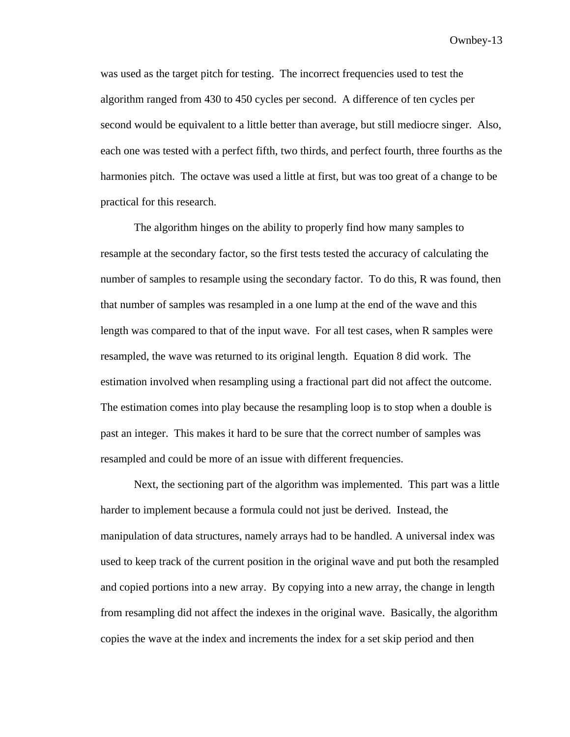was used as the target pitch for testing. The incorrect frequencies used to test the algorithm ranged from 430 to 450 cycles per second. A difference of ten cycles per second would be equivalent to a little better than average, but still mediocre singer. Also, each one was tested with a perfect fifth, two thirds, and perfect fourth, three fourths as the harmonies pitch. The octave was used a little at first, but was too great of a change to be practical for this research.

The algorithm hinges on the ability to properly find how many samples to resample at the secondary factor, so the first tests tested the accuracy of calculating the number of samples to resample using the secondary factor. To do this, R was found, then that number of samples was resampled in a one lump at the end of the wave and this length was compared to that of the input wave. For all test cases, when R samples were resampled, the wave was returned to its original length. Equation 8 did work. The estimation involved when resampling using a fractional part did not affect the outcome. The estimation comes into play because the resampling loop is to stop when a double is past an integer. This makes it hard to be sure that the correct number of samples was resampled and could be more of an issue with different frequencies.

Next, the sectioning part of the algorithm was implemented. This part was a little harder to implement because a formula could not just be derived. Instead, the manipulation of data structures, namely arrays had to be handled. A universal index was used to keep track of the current position in the original wave and put both the resampled and copied portions into a new array. By copying into a new array, the change in length from resampling did not affect the indexes in the original wave. Basically, the algorithm copies the wave at the index and increments the index for a set skip period and then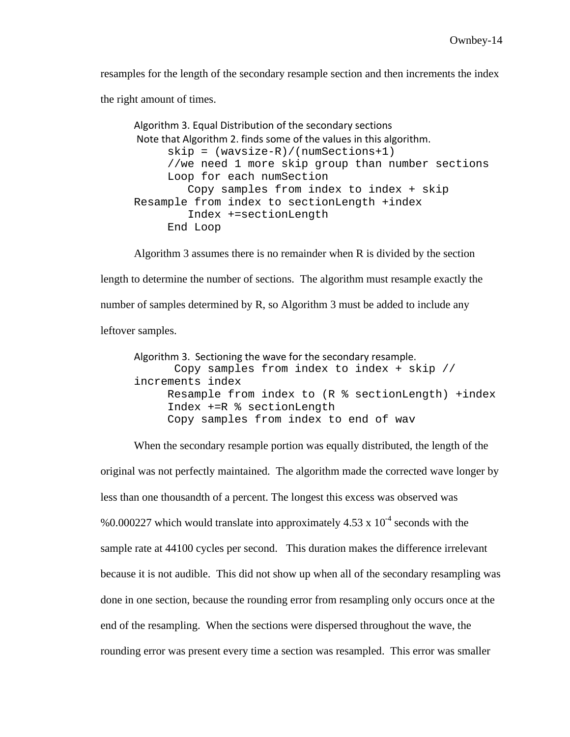resamples for the length of the secondary resample section and then increments the index

the right amount of times.

Algorithm 3. Equal Distribution of the secondary sections Note that Algorithm 2. finds some of the values in this algorithm. skip = (wavsize-R)/(numSections+1) //we need 1 more skip group than number sections Loop for each numSection Copy samples from index to index + skip Resample from index to sectionLength +index Index +=sectionLength End Loop

 Algorithm 3 assumes there is no remainder when R is divided by the section length to determine the number of sections. The algorithm must resample exactly the number of samples determined by R, so Algorithm 3 must be added to include any leftover samples.

Algorithm 3. Sectioning the wave for the secondary resample. Copy samples from index to index + skip // increments index Resample from index to (R % sectionLength) +index Index +=R % sectionLength Copy samples from index to end of wav

When the secondary resample portion was equally distributed, the length of the original was not perfectly maintained. The algorithm made the corrected wave longer by less than one thousandth of a percent. The longest this excess was observed was %0.000227 which would translate into approximately 4.53 x  $10^{-4}$  seconds with the sample rate at 44100 cycles per second. This duration makes the difference irrelevant because it is not audible. This did not show up when all of the secondary resampling was done in one section, because the rounding error from resampling only occurs once at the end of the resampling. When the sections were dispersed throughout the wave, the rounding error was present every time a section was resampled. This error was smaller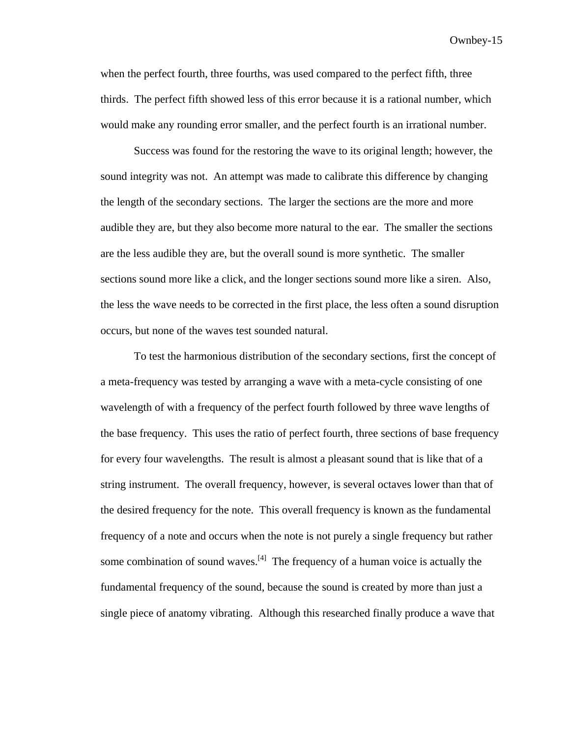when the perfect fourth, three fourths, was used compared to the perfect fifth, three thirds. The perfect fifth showed less of this error because it is a rational number, which would make any rounding error smaller, and the perfect fourth is an irrational number.

Success was found for the restoring the wave to its original length; however, the sound integrity was not. An attempt was made to calibrate this difference by changing the length of the secondary sections. The larger the sections are the more and more audible they are, but they also become more natural to the ear. The smaller the sections are the less audible they are, but the overall sound is more synthetic. The smaller sections sound more like a click, and the longer sections sound more like a siren. Also, the less the wave needs to be corrected in the first place, the less often a sound disruption occurs, but none of the waves test sounded natural.

To test the harmonious distribution of the secondary sections, first the concept of a meta-frequency was tested by arranging a wave with a meta-cycle consisting of one wavelength of with a frequency of the perfect fourth followed by three wave lengths of the base frequency. This uses the ratio of perfect fourth, three sections of base frequency for every four wavelengths. The result is almost a pleasant sound that is like that of a string instrument. The overall frequency, however, is several octaves lower than that of the desired frequency for the note. This overall frequency is known as the fundamental frequency of a note and occurs when the note is not purely a single frequency but rather some combination of sound waves.<sup>[4]</sup> The frequency of a human voice is actually the fundamental frequency of the sound, because the sound is created by more than just a single piece of anatomy vibrating. Although this researched finally produce a wave that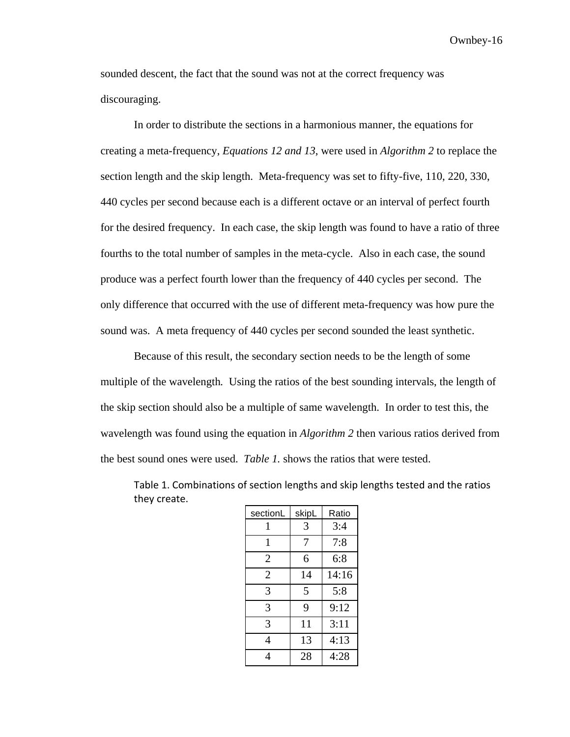sounded descent, the fact that the sound was not at the correct frequency was discouraging.

In order to distribute the sections in a harmonious manner, the equations for creating a meta-frequency, *Equations 12 and 13*, were used in *Algorithm 2* to replace the section length and the skip length. Meta-frequency was set to fifty-five, 110, 220, 330, 440 cycles per second because each is a different octave or an interval of perfect fourth for the desired frequency. In each case, the skip length was found to have a ratio of three fourths to the total number of samples in the meta-cycle. Also in each case, the sound produce was a perfect fourth lower than the frequency of 440 cycles per second. The only difference that occurred with the use of different meta-frequency was how pure the sound was. A meta frequency of 440 cycles per second sounded the least synthetic.

Because of this result, the secondary section needs to be the length of some multiple of the wavelength*.* Using the ratios of the best sounding intervals, the length of the skip section should also be a multiple of same wavelength. In order to test this, the wavelength was found using the equation in *Algorithm 2* then various ratios derived from the best sound ones were used. *Table 1.* shows the ratios that were tested.

| sectionL       | skipL | Ratio |
|----------------|-------|-------|
| 1              | 3     | 3:4   |
| 1              | 7     | 7:8   |
| $\overline{2}$ | 6     | 6:8   |
| $\overline{2}$ | 14    | 14:16 |
| 3              | 5     | 5:8   |
| 3              | 9     | 9:12  |
| 3              | 11    | 3:11  |
| 4              | 13    | 4:13  |
| 4              | 28    | 4:28  |

Table 1. Combinations of section lengths and skip lengths tested and the ratios they create.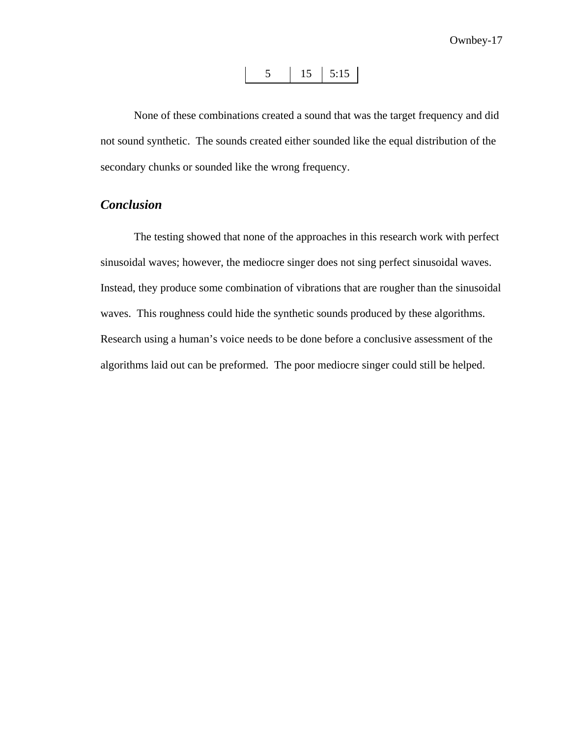$$
\begin{array}{c|c|c|c|c|c|c|c|c} \hline 5 & 15 & 5:15 \end{array}
$$

 None of these combinations created a sound that was the target frequency and did not sound synthetic. The sounds created either sounded like the equal distribution of the secondary chunks or sounded like the wrong frequency.

# *Conclusion*

The testing showed that none of the approaches in this research work with perfect sinusoidal waves; however, the mediocre singer does not sing perfect sinusoidal waves. Instead, they produce some combination of vibrations that are rougher than the sinusoidal waves. This roughness could hide the synthetic sounds produced by these algorithms. Research using a human's voice needs to be done before a conclusive assessment of the algorithms laid out can be preformed. The poor mediocre singer could still be helped.